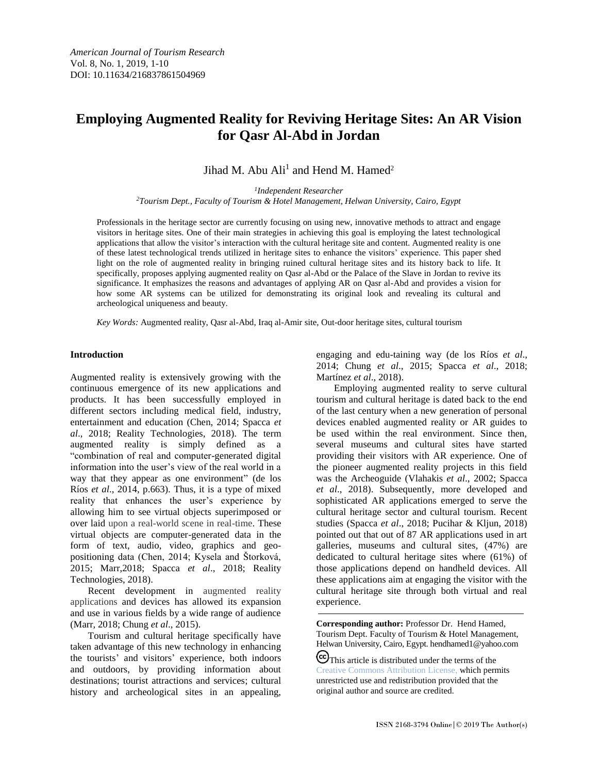*American Journal of Tourism Research* Vol. 8, No. 1, 2019, 1-10 DOI: 10.11634/216837861504969

# **Employing Augmented Reality for Reviving Heritage Sites: An AR Vision for Qasr Al-Abd in Jordan**

## Jihad M. Abu Ali<sup>1</sup> and Hend M. Hamed<sup>2</sup>

*1 Independent Researcher*

*<sup>2</sup>Tourism Dept., Faculty of Tourism & Hotel Management, Helwan University, Cairo, Egypt*

Professionals in the heritage sector are currently focusing on using new, innovative methods to attract and engage visitors in heritage sites. One of their main strategies in achieving this goal is employing the latest technological applications that allow the visitor's interaction with the cultural heritage site and content. Augmented reality is one of these latest technological trends utilized in heritage sites to enhance the visitors' experience. This paper shed light on the role of augmented reality in bringing ruined cultural heritage sites and its history back to life. It specifically, proposes applying augmented reality on Qasr al-Abd or the Palace of the Slave in Jordan to revive its significance. It emphasizes the reasons and advantages of applying AR on Qasr al-Abd and provides a vision for how some AR systems can be utilized for demonstrating its original look and revealing its cultural and archeological uniqueness and beauty.

*Key Words:* Augmented reality, Qasr al-Abd, Iraq al-Amir site, Out-door heritage sites, cultural tourism

#### **Introduction**

Augmented reality is extensively growing with the continuous emergence of its new applications and products. It has been successfully employed in different sectors including medical field, industry, entertainment and education (Chen, 2014; Spacca *et al*., 2018; Reality Technologies, 2018). The term augmented reality is simply defined as a "combination of real and computer-generated digital information into the user's view of the real world in a way that they appear as one environment" (de los Ríos *et al*., 2014, p.663). Thus, it is a type of mixed reality that enhances the user's experience by allowing him to see virtual objects superimposed or over laid upon a real-world scene in real-time. These virtual objects are computer-generated data in the form of text, audio, video, graphics and geopositioning data (Chen, 2014; Kysela and Štorková, 2015; Marr,2018; Spacca *et al*., 2018; Reality Technologies, 2018).

Recent development in augmented reality applications and devices has allowed its expansion and use in various fields by a wide range of audience (Marr, 2018; Chung *et al*., 2015).

Tourism and cultural heritage specifically have taken advantage of this new technology in enhancing the tourists' and visitors' experience, both indoors and outdoors, by providing information about destinations; tourist attractions and services; cultural history and archeological sites in an appealing, engaging and edu-taining way (de los Ríos *et al*., 2014; Chung *et al*., 2015; Spacca *et al*., 2018; Martínez *et al*., 2018).

Employing augmented reality to serve cultural tourism and cultural heritage is dated back to the end of the last century when a new generation of personal devices enabled augmented reality or AR guides to be used within the real environment. Since then, several museums and cultural sites have started providing their visitors with AR experience. One of the pioneer augmented reality projects in this field was the Archeoguide (Vlahakis *et al*., 2002; Spacca *et al*., 2018). Subsequently, more developed and sophisticated AR applications emerged to serve the cultural heritage sector and cultural tourism. Recent studies (Spacca *et al*., 2018; Pucihar & Kljun, 2018) pointed out that out of 87 AR applications used in art galleries, museums and cultural sites, (47%) are dedicated to cultural heritage sites where (61%) of those applications depend on handheld devices. All these applications aim at engaging the visitor with the cultural heritage site through both virtual and real experience.

**Corresponding author:** Professor Dr. Hend Hamed, Tourism Dept. Faculty of Tourism & Hotel Management, Helwan University, Cairo, Egypt[. hendhamed1@yahoo.com](mailto:hendhamed1@yahoo.com) This article is distributed under the terms of the

[Creative Commons Attribution License,](http://creativecommons.org/licenses/by/3.0/) which permits unrestricted use and redistribution provided that the original author and source are credited.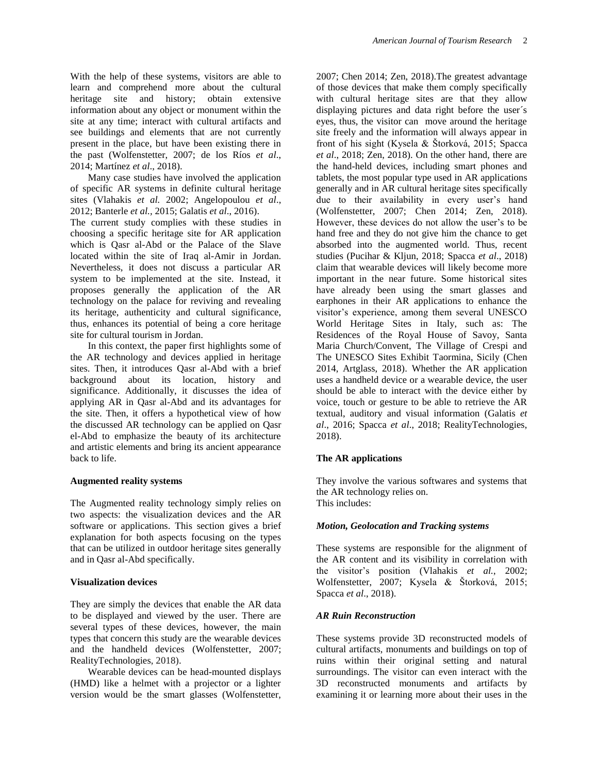With the help of these systems, visitors are able to learn and comprehend more about the cultural heritage site and history; obtain extensive information about any object or monument within the site at any time; interact with cultural artifacts and see buildings and elements that are not currently present in the place, but have been existing there in the past (Wolfenstetter, 2007; de los Ríos *et al*., 2014; Martínez *et al*., 2018).

Many case studies have involved the application of specific AR systems in definite cultural heritage sites (Vlahakis *et al.* 2002; Angelopoulou *et al*., 2012; Banterle *et al.,* 2015; Galatis *et al*., 2016).

The current study complies with these studies in choosing a specific heritage site for AR application which is Qasr al-Abd or the Palace of the Slave located within the site of Iraq al-Amir in Jordan. Nevertheless, it does not discuss a particular AR system to be implemented at the site. Instead, it proposes generally the application of the AR technology on the palace for reviving and revealing its heritage, authenticity and cultural significance, thus, enhances its potential of being a core heritage site for cultural tourism in Jordan.

In this context, the paper first highlights some of the AR technology and devices applied in heritage sites. Then, it introduces Qasr al-Abd with a brief background about its location, history and significance. Additionally, it discusses the idea of applying AR in Qasr al-Abd and its advantages for the site. Then, it offers a hypothetical view of how the discussed AR technology can be applied on Qasr el-Abd to emphasize the beauty of its architecture and artistic elements and bring its ancient appearance back to life.

## **Augmented reality systems**

The Augmented reality technology simply relies on two aspects: the visualization devices and the AR software or applications. This section gives a brief explanation for both aspects focusing on the types that can be utilized in outdoor heritage sites generally and in Qasr al-Abd specifically.

## **Visualization devices**

They are simply the devices that enable the AR data to be displayed and viewed by the user. There are several types of these devices, however, the main types that concern this study are the wearable devices and the handheld devices (Wolfenstetter, 2007; RealityTechnologies, 2018).

Wearable devices can be head-mounted displays (HMD) like a helmet with a projector or a lighter version would be the smart glasses (Wolfenstetter, 2007; Chen 2014; Zen, 2018).The greatest advantage of those devices that make them comply specifically with cultural heritage sites are that they allow displaying pictures and data right before the user´s eyes, thus, the visitor can move around the heritage site freely and the information will always appear in front of his sight (Kysela & Štorková, 2015; Spacca *et al*., 2018; Zen, 2018). On the other hand, there are the hand-held devices, including smart phones and tablets, the most popular type used in AR applications generally and in AR cultural heritage sites specifically due to their availability in every user's hand (Wolfenstetter, 2007; Chen 2014; Zen, 2018). However, these devices do not allow the user's to be hand free and they do not give him the chance to get absorbed into the augmented world. Thus, recent studies (Pucihar & Kljun, 2018; Spacca *et al*., 2018) claim that wearable devices will likely become more important in the near future. Some historical sites have already been using the smart glasses and earphones in their AR applications to enhance the visitor's experience, among them several UNESCO World Heritage Sites in Italy, such as: The Residences of the Royal House of Savoy, Santa Maria Church/Convent, The Village of Crespi and The UNESCO Sites Exhibit Taormina, Sicily (Chen 2014, Artglass, 2018). Whether the AR application uses a handheld device or a wearable device, the user should be able to interact with the device either by voice, touch or gesture to be able to retrieve the AR textual, auditory and visual information (Galatis *et al*., 2016; Spacca *et al*., 2018; RealityTechnologies, 2018).

## **The AR applications**

They involve the various softwares and systems that the AR technology relies on. This includes:

## *Motion, Geolocation and Tracking systems*

These systems are responsible for the alignment of the AR content and its visibility in correlation with the visitor's position (Vlahakis *et al.*, 2002; Wolfenstetter, 2007; Kysela & Štorková, 2015; Spacca *et al*., 2018).

## *AR Ruin Reconstruction*

These systems provide 3D reconstructed models of cultural artifacts, monuments and buildings on top of ruins within their original setting and natural surroundings. The visitor can even interact with the 3D reconstructed monuments and artifacts by examining it or learning more about their uses in the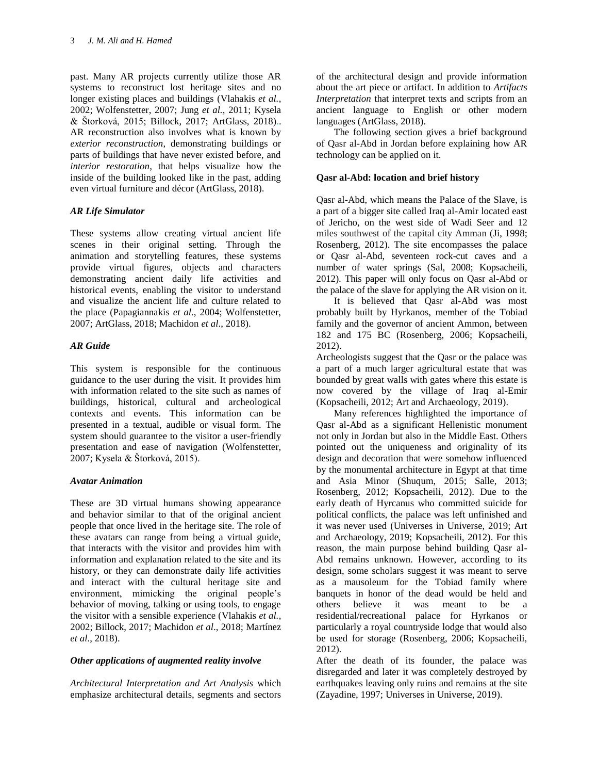past. Many AR projects currently utilize those AR systems to reconstruct lost heritage sites and no longer existing places and buildings (Vlahakis *et al.*, 2002; Wolfenstetter, 2007; Jung *et al.,* 2011; Kysela & Štorková, 2015; Billock, 2017; ArtGlass, 2018).. AR reconstruction also involves what is known by *exterior reconstruction*, demonstrating buildings or parts of buildings that have never existed before, and *interior restoration*, that helps visualize how the inside of the building looked like in the past, adding even virtual furniture and décor (ArtGlass, 2018).

## *AR Life Simulator*

These systems allow creating virtual ancient life scenes in their original setting. Through the animation and storytelling features, these systems provide virtual figures, objects and characters demonstrating ancient daily life activities and historical events, enabling the visitor to understand and visualize the ancient life and culture related to the place (Papagiannakis *et al*., 2004; Wolfenstetter, 2007; ArtGlass, 2018; Machidon *et al*., 2018).

## *AR Guide*

This system is responsible for the continuous guidance to the user during the visit. It provides him with information related to the site such as names of buildings, historical, cultural and archeological contexts and events. This information can be presented in a textual, audible or visual form. The system should guarantee to the visitor a user-friendly presentation and ease of navigation (Wolfenstetter, 2007; Kysela & Štorková, 2015).

## *Avatar Animation*

These are 3D virtual humans showing appearance and behavior similar to that of the original ancient people that once lived in the heritage site. The role of these avatars can range from being a virtual guide, that interacts with the visitor and provides him with information and explanation related to the site and its history, or they can demonstrate daily life activities and interact with the cultural heritage site and environment, mimicking the original people's behavior of moving, talking or using tools, to engage the visitor with a sensible experience (Vlahakis *et al.*, 2002; Billock, 2017; Machidon *et al*., 2018; Martínez *et al*., 2018).

## *Other applications of augmented reality involve*

*Architectural Interpretation and Art Analysis* which emphasize architectural details, segments and sectors of the architectural design and provide information about the art piece or artifact. In addition to *Artifacts Interpretation* that interpret texts and scripts from an ancient language to English or other modern languages (ArtGlass, 2018).

The following section gives a brief background of Qasr al-Abd in Jordan before explaining how AR technology can be applied on it.

## **Qasr al-Abd: location and brief history**

Qasr al-Abd, which means the Palace of the Slave, is a part of a bigger site called Iraq al-Amir located east of Jericho, on the west side of Wadi Seer and 12 miles southwest of the capital city Amman (Ji, 1998; Rosenberg, 2012). The site encompasses the palace or Qasr al-Abd, seventeen rock-cut caves and a number of water springs (Sal, 2008; Kopsacheili, 2012). This paper will only focus on Qasr al-Abd or the palace of the slave for applying the AR vision on it.

It is believed that Qasr al-Abd was most probably built by Hyrkanos, member of the Tobiad family and the governor of ancient Ammon, between 182 and 175 BC (Rosenberg, 2006; Kopsacheili, 2012).

Archeologists suggest that the Qasr or the palace was a part of a much larger agricultural estate that was bounded by great walls with gates where this estate is now covered by the village of Iraq al-Emir (Kopsacheili, 2012; Art and Archaeology, 2019).

Many references highlighted the importance of Qasr al-Abd as a significant Hellenistic monument not only in Jordan but also in the Middle East. Others pointed out the uniqueness and originality of its design and decoration that were somehow influenced by the monumental architecture in Egypt at that time and Asia Minor (Shuqum, 2015; Salle, 2013; Rosenberg, 2012; Kopsacheili, 2012). Due to the early death of Hyrcanus who committed suicide for political conflicts, the palace was left unfinished and it was never used (Universes in Universe, 2019; Art and Archaeology, 2019; Kopsacheili, 2012). For this reason, the main purpose behind building Qasr al-Abd remains unknown. However, according to its design, some scholars suggest it was meant to serve as a mausoleum for the Tobiad family where banquets in honor of the dead would be held and others believe it was meant to be a residential/recreational palace for Hyrkanos or particularly a royal countryside lodge that would also be used for storage (Rosenberg, 2006; Kopsacheili, 2012).

After the death of its founder, the palace was disregarded and later it was completely destroyed by earthquakes leaving only ruins and remains at the site (Zayadine, 1997; Universes in Universe, 2019).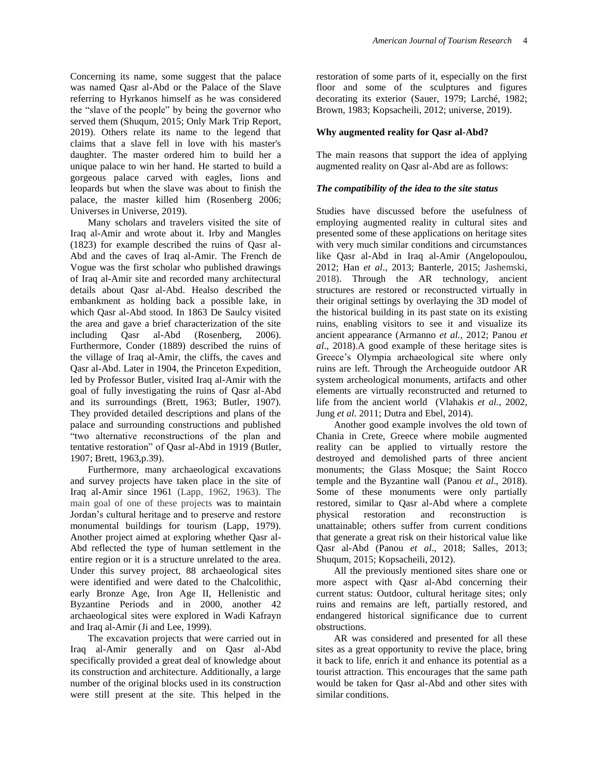Concerning its name, some suggest that the palace was named Qasr al-Abd or the Palace of the Slave referring to Hyrkanos himself as he was considered the "slave of the people" by being the governor who served them (Shuqum, 2015; Only Mark Trip Report, 2019). Others relate its name to the legend that claims that a slave fell in love with his master's daughter. The master ordered him to build her a unique palace to win her hand. He started to build a gorgeous palace carved with eagles, lions and leopards but when the slave was about to finish the palace, the master killed him (Rosenberg 2006; Universes in Universe, 2019).

Many scholars and travelers visited the site of Iraq al-Amir and wrote about it. Irby and Mangles (1823) for example described the ruins of Qasr al-Abd and the caves of Iraq al-Amir. The French de Vogue was the first scholar who published drawings of Iraq al-Amir site and recorded many architectural details about Qasr al-Abd. Healso described the embankment as holding back a possible lake, in which Qasr al-Abd stood. In 1863 De Saulcy visited the area and gave a brief characterization of the site including Qasr al-Abd (Rosenberg, 2006). Furthermore, Conder (1889) described the ruins of the village of Iraq al-Amir, the cliffs, the caves and Qasr al-Abd. Later in 1904, the Princeton Expedition, led by Professor Butler, visited Iraq al-Amir with the goal of fully investigating the ruins of Qasr al-Abd and its surroundings (Brett, 1963; Butler, 1907). They provided detailed descriptions and plans of the palace and surrounding constructions and published "two alternative reconstructions of the plan and tentative restoration" of Qasr al-Abd in 1919 (Butler, 1907; Brett, 1963,p.39).

Furthermore, many archaeological excavations and survey projects have taken place in the site of Iraq al-Amir since 1961 (Lapp, 1962, 1963). The main goal of one of these projects was to maintain Jordan's cultural heritage and to preserve and restore monumental buildings for tourism (Lapp, 1979). Another project aimed at exploring whether Qasr al-Abd reflected the type of human settlement in the entire region or it is a structure unrelated to the area. Under this survey project, 88 archaeological sites were identified and were dated to the Chalcolithic, early Bronze Age, Iron Age II, Hellenistic and Byzantine Periods and in 2000, another 42 archaeological sites were explored in Wadi Kafrayn and Iraq al-Amir (Ji and Lee, 1999).

The excavation projects that were carried out in Iraq al-Amir generally and on Qasr al-Abd specifically provided a great deal of knowledge about its construction and architecture. Additionally, a large number of the original blocks used in its construction were still present at the site. This helped in the restoration of some parts of it, especially on the first floor and some of the sculptures and figures decorating its exterior (Sauer, 1979; Larché, 1982; Brown, 1983; Kopsacheili, 2012; universe, 2019).

#### **Why augmented reality for Qasr al-Abd?**

The main reasons that support the idea of applying augmented reality on Qasr al-Abd are as follows:

#### *The compatibility of the idea to the site status*

Studies have discussed before the usefulness of employing augmented reality in cultural sites and presented some of these applications on heritage sites with very much similar conditions and circumstances like Qasr al-Abd in Iraq al-Amir (Angelopoulou, 2012; Han *et al*., 2013; Banterle, 2015; Jashemski, 2018). Through the AR technology, ancient structures are restored or reconstructed virtually in their original settings by overlaying the 3D model of the historical building in its past state on its existing ruins, enabling visitors to see it and visualize its ancient appearance (Armanno *et al.*, 2012; Panou *et al*., 2018).A good example of these heritage sites is Greece's Olympia archaeological site where only ruins are left. Through the Archeoguide outdoor AR system archeological monuments, artifacts and other elements are virtually reconstructed and returned to life from the ancient world (Vlahakis *et al.*, 2002, Jung *et al.* 2011; Dutra and Ebel, 2014).

Another good example involves the old town of Chania in Crete, Greece where mobile augmented reality can be applied to virtually restore the destroyed and demolished parts of three ancient monuments; the Glass Mosque; the Saint Rocco temple and the Byzantine wall (Panou *et al*., 2018). Some of these monuments were only partially restored, similar to Qasr al-Abd where a complete physical restoration and reconstruction is unattainable; others suffer from current conditions that generate a great risk on their historical value like Qasr al-Abd (Panou *et al*., 2018; Salles, 2013; Shuqum, 2015; Kopsacheili, 2012).

All the previously mentioned sites share one or more aspect with Qasr al-Abd concerning their current status: Outdoor, cultural heritage sites; only ruins and remains are left, partially restored, and endangered historical significance due to current obstructions.

AR was considered and presented for all these sites as a great opportunity to revive the place, bring it back to life, enrich it and enhance its potential as a tourist attraction. This encourages that the same path would be taken for Qasr al-Abd and other sites with similar conditions.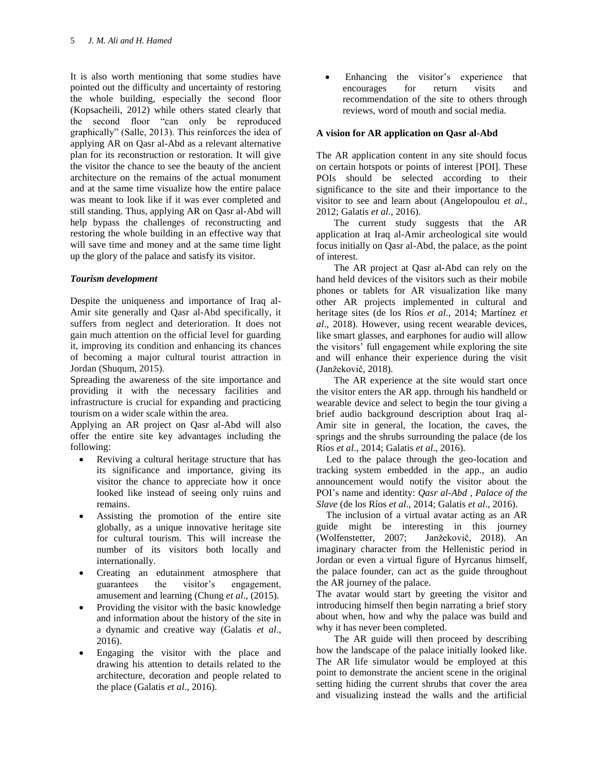It is also worth mentioning that some studies have pointed out the difficulty and uncertainty of restoring the whole building, especially the second floor (Kopsacheili, 2012) while others stated clearly that the second floor "can only be reproduced graphically" (Salle, 2013). This reinforces the idea of applying AR on Qasr al-Abd as a relevant alternative plan for its reconstruction or restoration. It will give the visitor the chance to see the beauty of the ancient architecture on the remains of the actual monument and at the same time visualize how the entire palace was meant to look like if it was ever completed and still standing. Thus, applying AR on Qasr al-Abd will help bypass the challenges of reconstructing and restoring the whole building in an effective way that will save time and money and at the same time light up the glory of the palace and satisfy its visitor.

## *Tourism development*

Despite the uniqueness and importance of Iraq al-Amir site generally and Qasr al-Abd specifically, it suffers from neglect and deterioration. It does not gain much attention on the official level for guarding it, improving its condition and enhancing its chances of becoming a major cultural tourist attraction in Jordan (Shuqum, 2015).

Spreading the awareness of the site importance and providing it with the necessary facilities and infrastructure is crucial for expanding and practicing tourism on a wider scale within the area.

Applying an AR project on Qasr al-Abd will also offer the entire site key advantages including the following:

- Reviving a cultural heritage structure that has its significance and importance, giving its visitor the chance to appreciate how it once looked like instead of seeing only ruins and remains.
- Assisting the promotion of the entire site globally, as a unique innovative heritage site for cultural tourism. This will increase the number of its visitors both locally and internationally.
- Creating an edutainment atmosphere that guarantees the visitor's engagement, amusement and learning (Chung *et al*., (2015).
- Providing the visitor with the basic knowledge and information about the history of the site in a dynamic and creative way (Galatis *et al*., 2016).
- Engaging the visitor with the place and drawing his attention to details related to the architecture, decoration and people related to the place (Galatis *et al*., 2016).

Enhancing the visitor's experience that encourages for return visits and recommendation of the site to others through reviews, word of mouth and social media.

#### **A vision for AR application on Qasr al-Abd**

The AR application content in any site should focus on certain hotspots or points of interest [POI]. These POIs should be selected according to their significance to the site and their importance to the visitor to see and learn about (Angelopoulou *et al*., 2012; Galatis *et al*., 2016).

The current study suggests that the AR application at Iraq al-Amir archeological site would focus initially on Qasr al-Abd, the palace, as the point of interest.

The AR project at Qasr al-Abd can rely on the hand held devices of the visitors such as their mobile phones or tablets for AR visualization like many other AR projects implemented in cultural and heritage sites (de los Ríos *et al*., 2014; Martínez *et al*., 2018). However, using recent wearable devices, like smart glasses, and earphones for audio will allow the visitors' full engagement while exploring the site and will enhance their experience during the visit [\(Janžekovič,](https://www.vi-mm.eu/author/petja/) 2018).

The AR experience at the site would start once the visitor enters the AR app. through his handheld or wearable device and select to begin the tour giving a brief audio background description about Iraq al-Amir site in general, the location, the caves, the springs and the shrubs surrounding the palace (de los Ríos *et al*., 2014; Galatis *et al*., 2016).

 Led to the palace through the geo-location and tracking system embedded in the app., an audio announcement would notify the visitor about the POI's name and identity: *Qasr al-Abd , Palace of the Slave* (de los Ríos *et al*., 2014; Galatis *et al*., 2016).

 The inclusion of a virtual avatar acting as an AR guide might be interesting in this journey (Wolfenstetter, 2007; [Janžekovič,](https://www.vi-mm.eu/author/petja/) 2018). An imaginary character from the Hellenistic period in Jordan or even a virtual figure of Hyrcanus himself, the palace founder, can act as the guide throughout the AR journey of the palace.

The avatar would start by greeting the visitor and introducing himself then begin narrating a brief story about when, how and why the palace was build and why it has never been completed.

The AR guide will then proceed by describing how the landscape of the palace initially looked like. The AR life simulator would be employed at this point to demonstrate the ancient scene in the original setting hiding the current shrubs that cover the area and visualizing instead the walls and the artificial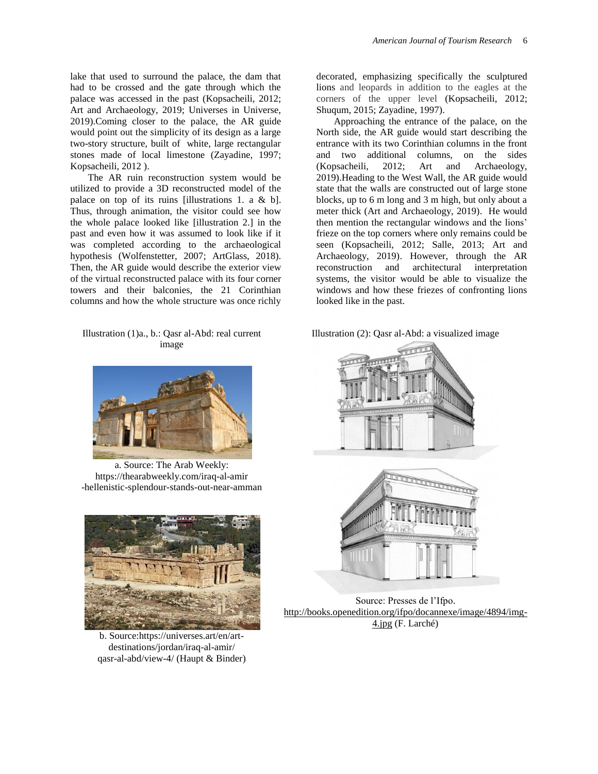lake that used to surround the palace, the dam that had to be crossed and the gate through which the palace was accessed in the past (Kopsacheili, 2012; Art and Archaeology, 2019; Universes in Universe, 2019).Coming closer to the palace, the AR guide would point out the simplicity of its design as a large two-story structure, built of white, large rectangular stones made of local limestone (Zayadine, 1997; Kopsacheili, 2012 ).

The AR ruin reconstruction system would be utilized to provide a 3D reconstructed model of the palace on top of its ruins [illustrations 1. a & b]. Thus, through animation, the visitor could see how the whole palace looked like [illustration 2.] in the past and even how it was assumed to look like if it was completed according to the archaeological hypothesis (Wolfenstetter, 2007; ArtGlass, 2018). Then, the AR guide would describe the exterior view of the virtual reconstructed palace with its four corner towers and their balconies, the 21 Corinthian columns and how the whole structure was once richly

#### Illustration (1)a., b.: Qasr al-Abd: real current image



a. Source: The Arab Weekly: [https://thearabweekly.com/iraq-al-amir](https://thearabweekly.com/iraq-al-amir-hellenistic-splendour-stands-out-near-amman) [-hellenistic-splendour-stands-out-near-amman](https://thearabweekly.com/iraq-al-amir-hellenistic-splendour-stands-out-near-amman)



b. Source[:https://universes.art/en/art](https://universes.art/en/art-destinations/jordan/iraq-al-amir/qasr-al-abd/view-4/)[destinations/jordan/iraq-al-amir/](https://universes.art/en/art-destinations/jordan/iraq-al-amir/qasr-al-abd/view-4/) [qasr-al-abd/view-4/](https://universes.art/en/art-destinations/jordan/iraq-al-amir/qasr-al-abd/view-4/) (Haupt & Binder)

decorated, emphasizing specifically the sculptured lions and leopards in addition to the eagles at the corners of the upper level (Kopsacheili, 2012; Shuqum, 2015; Zayadine, 1997).

Approaching the entrance of the palace, on the North side, the AR guide would start describing the entrance with its two Corinthian columns in the front and two additional columns, on the sides (Kopsacheili, 2012; Art and Archaeology, 2019).Heading to the West Wall, the AR guide would state that the walls are constructed out of large stone blocks, up to 6 m long and 3 m high, but only about a meter thick (Art and Archaeology, 2019). He would then mention the rectangular windows and the lions' frieze on the top corners where only remains could be seen (Kopsacheili, 2012; Salle, 2013; Art and Archaeology, 2019). However, through the AR reconstruction and architectural interpretation systems, the visitor would be able to visualize the windows and how these friezes of confronting lions looked like in the past.

Illustration (2): Qasr al-Abd: a visualized image



Source: Presses de l'Ifpo. [http://books.openedition.org/ifpo/docannexe/image/4894/img-](https://books.openedition.org/ifpo/docannexe/image/4894/img-4.jpg)[4.jpg](https://books.openedition.org/ifpo/docannexe/image/4894/img-4.jpg) (F. Larché)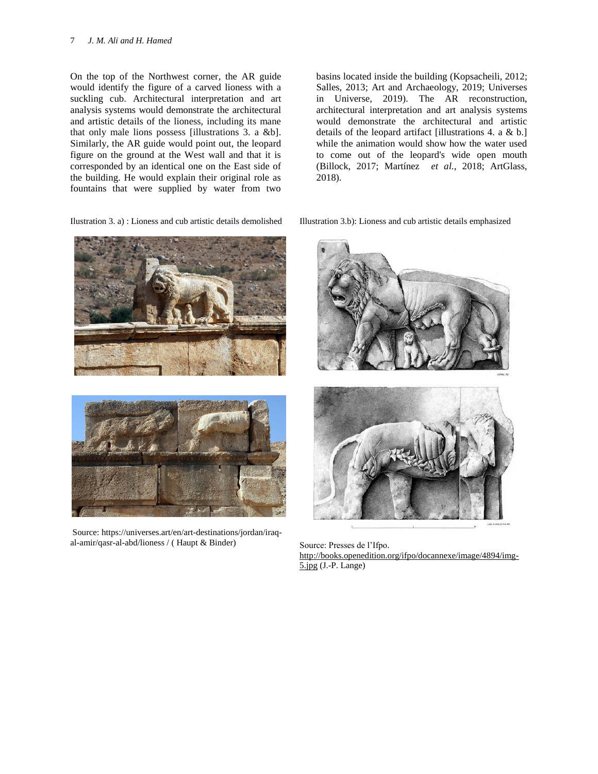On the top of the Northwest corner, the AR guide would identify the figure of a carved lioness with a suckling cub. Architectural interpretation and art analysis systems would demonstrate the architectural and artistic details of the lioness, including its mane that only male lions possess [illustrations 3. a &b]. Similarly, the AR guide would point out, the leopard figure on the ground at the West wall and that it is corresponded by an identical one on the East side of the building. He would explain their original role as fountains that were supplied by water from two

Ilustration 3. a) : Lioness and cub artistic details demolished

basins located inside the building (Kopsacheili, 2012; Salles, 2013; Art and Archaeology, 2019; Universes in Universe, 2019). The AR reconstruction, architectural interpretation and art analysis systems would demonstrate the architectural and artistic details of the leopard artifact [illustrations 4. a & b.] while the animation would show how the water used to come out of the leopard's wide open mouth (Billock, 2017; Martínez *et al.*, 2018; ArtGlass, 2018).

Illustration 3.b): Lioness and cub artistic details emphasized





Source: [https://universes.art/en/art-destinations/jordan/iraq](https://universes.art/en/art-destinations/jordan/iraq-al-amir/qasr-al-abd/lioness%20/)[al-amir/qasr-al-abd/lioness /](https://universes.art/en/art-destinations/jordan/iraq-al-amir/qasr-al-abd/lioness%20/) ( Haupt & Binder)



Source: Presses de l'Ifpo. [http://books.openedition.org/ifpo/docannexe/image/4894/img-](https://books.openedition.org/ifpo/docannexe/image/4894/img-5.jpg)[5.jpg](https://books.openedition.org/ifpo/docannexe/image/4894/img-5.jpg) (J.-P. Lange)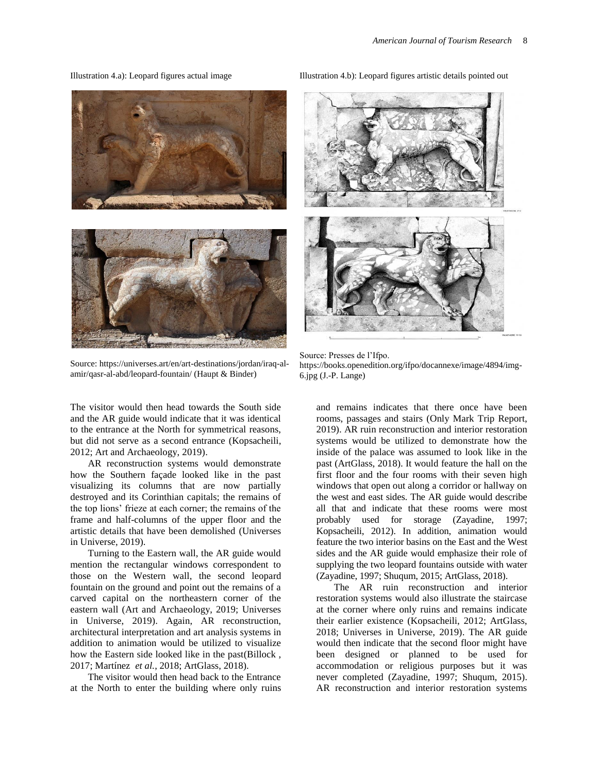Illustration 4.a): Leopard figures actual image



Source[: https://universes.art/en/art-destinations/jordan/iraq-al](https://universes.art/en/art-destinations/jordan/iraq-al-amir/qasr-al-abd/leopard-fountain/)[amir/qasr-al-abd/leopard-fountain/](https://universes.art/en/art-destinations/jordan/iraq-al-amir/qasr-al-abd/leopard-fountain/) (Haupt & Binder)

The visitor would then head towards the South side and the AR guide would indicate that it was identical to the entrance at the North for symmetrical reasons, but did not serve as a second entrance (Kopsacheili, 2012; Art and Archaeology, 2019).

AR reconstruction systems would demonstrate how the Southern façade looked like in the past visualizing its columns that are now partially destroyed and its Corinthian capitals; the remains of the top lions' frieze at each corner; the remains of the frame and half-columns of the upper floor and the artistic details that have been demolished (Universes in Universe, 2019).

Turning to the Eastern wall, the AR guide would mention the rectangular windows correspondent to those on the Western wall, the second leopard fountain on the ground and point out the remains of a carved capital on the northeastern corner of the eastern wall (Art and Archaeology, 2019; Universes in Universe, 2019). Again, AR reconstruction, architectural interpretation and art analysis systems in addition to animation would be utilized to visualize how the Eastern side looked like in the past(Billock , 2017; Martínez *et al.*, 2018; ArtGlass, 2018).

The visitor would then head back to the Entrance at the North to enter the building where only ruins Illustration 4.b): Leopard figures artistic details pointed out



Source: Presses de l'Ifpo. [https://books.openedition.org/ifpo/docannexe/image/4894/img-](https://books.openedition.org/ifpo/docannexe/image/4894/img-6.jpg)[6.jpg](https://books.openedition.org/ifpo/docannexe/image/4894/img-6.jpg) (J.-P. Lange)

and remains indicates that there once have been rooms, passages and stairs (Only Mark Trip Report, 2019). AR ruin reconstruction and interior restoration systems would be utilized to demonstrate how the inside of the palace was assumed to look like in the past (ArtGlass, 2018). It would feature the hall on the first floor and the four rooms with their seven high windows that open out along a corridor or hallway on the west and east sides. The AR guide would describe all that and indicate that these rooms were most probably used for storage (Zayadine, 1997; Kopsacheili, 2012). In addition, animation would feature the two interior basins on the East and the West sides and the AR guide would emphasize their role of supplying the two leopard fountains outside with water (Zayadine, 1997; Shuqum, 2015; ArtGlass, 2018).

The AR ruin reconstruction and interior restoration systems would also illustrate the staircase at the corner where only ruins and remains indicate their earlier existence (Kopsacheili, 2012; ArtGlass, 2018; Universes in Universe, 2019). The AR guide would then indicate that the second floor might have been designed or planned to be used for accommodation or religious purposes but it was never completed (Zayadine, 1997; Shuqum, 2015). AR reconstruction and interior restoration systems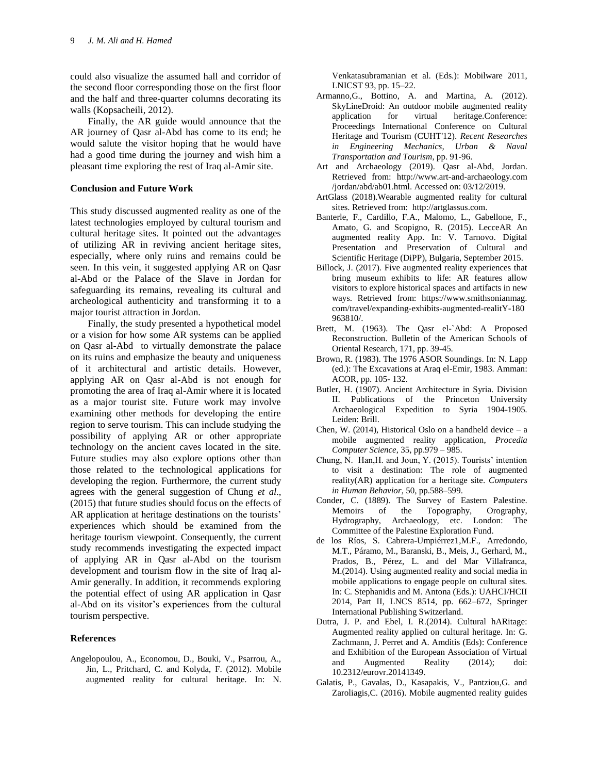could also visualize the assumed hall and corridor of the second floor corresponding those on the first floor and the half and three-quarter columns decorating its walls (Kopsacheili, 2012).

Finally, the AR guide would announce that the AR journey of Qasr al-Abd has come to its end; he would salute the visitor hoping that he would have had a good time during the journey and wish him a pleasant time exploring the rest of Iraq al-Amir site.

#### **Conclusion and Future Work**

This study discussed augmented reality as one of the latest technologies employed by cultural tourism and cultural heritage sites. It pointed out the advantages of utilizing AR in reviving ancient heritage sites, especially, where only ruins and remains could be seen. In this vein, it suggested applying AR on Qasr al-Abd or the Palace of the Slave in Jordan for safeguarding its remains, revealing its cultural and archeological authenticity and transforming it to a major tourist attraction in Jordan.

Finally, the study presented a hypothetical model or a vision for how some AR systems can be applied on Qasr al-Abd to virtually demonstrate the palace on its ruins and emphasize the beauty and uniqueness of it architectural and artistic details. However, applying AR on Qasr al-Abd is not enough for promoting the area of Iraq al-Amir where it is located as a major tourist site. Future work may involve examining other methods for developing the entire region to serve tourism. This can include studying the possibility of applying AR or other appropriate technology on the ancient caves located in the site. Future studies may also explore options other than those related to the technological applications for developing the region. Furthermore, the current study agrees with the general suggestion of Chung *et al*., (2015) that future studies should focus on the effects of AR application at heritage destinations on the tourists' experiences which should be examined from the heritage tourism viewpoint. Consequently, the current study recommends investigating the expected impact of applying AR in Qasr al-Abd on the tourism development and tourism flow in the site of Iraq al-Amir generally. In addition, it recommends exploring the potential effect of using AR application in Qasr al-Abd on its visitor's experiences from the cultural tourism perspective.

#### **References**

Angelopoulou, A., Economou, D., Bouki, V., Psarrou, A., Jin, L., Pritchard, C. and Kolyda, F. (2012). Mobile augmented reality for cultural heritage. In: N. Venkatasubramanian et al. (Eds.): Mobilware 2011, LNICST 93, pp. 15–22.

- Armanno,G., Bottino, A. and Martina, A. (2012). SkyLineDroid: An outdoor mobile augmented reality application for virtual heritage.Conference: Proceedings International Conference on Cultural Heritage and Tourism (CUHT'12). *Recent Researches in Engineering Mechanics, Urban & Naval Transportation and Tourism*, pp. 91-96.
- Art and Archaeology (2019). Qasr al-Abd, Jordan. Retrieved from: http://www.art-and-archaeology.com /jordan/abd/ab01.html. Accessed on: 03/12/2019.
- ArtGlass (2018).Wearable augmented reality for cultural sites. Retrieved from: [http://artglassus.com.](http://artglassus.com/)
- Banterle, F., Cardillo, F.A., Malomo, L., Gabellone, F., Amato, G. and Scopigno, R. (2015). LecceAR An augmented reality App. In: V. Tarnovo. Digital Presentation and Preservation of Cultural and Scientific Heritage (DiPP), Bulgaria, September 2015.
- [Billock,](https://www.smithsonianmag.com/author/jennifer-billock/) J. (2017). Five augmented reality experiences that bring museum exhibits to life: AR features allow visitors to explore historical spaces and artifacts in new ways. Retrieved from: https://www.smithsonianmag. com/travel/expanding-exhibits-augmented-realitY-180 963810/.
- Brett, M. (1963). The Qasr el-`Abd: A Proposed Reconstruction. Bulletin of the American Schools of Oriental Research, 171, pp. 39-45.
- Brown, R. (1983). The 1976 ASOR Soundings. In: N. Lapp (ed.): The Excavations at Araq el-Emir, 1983. Amman: ACOR, pp. 105- 132.
- Butler, H. (1907). Ancient Architecture in Syria. Division II. Publications of the Princeton University Archaeological Expedition to Syria 1904-1905*.*  Leiden: Brill.
- Chen, W. (2014), Historical Oslo on a handheld device  $-$  a mobile augmented reality application, *Procedia Computer Science*, 35, pp.979 – 985.
- Chung, N. Han,H. and Joun, Y. (2015). Tourists' intention to visit a destination: The role of augmented reality(AR) application for a heritage site. *Computers in Human Behavior*, 50, pp.588–599.
- Conder, C. (1889). The Survey of Eastern Palestine. Memoirs of the Topography, Orography, Hydrography, Archaeology, etc. London: The Committee of the Palestine Exploration Fund.
- de los Ríos, S. Cabrera-Umpiérrez1,M.F., Arredondo, M.T., Páramo, M., Baranski, B., Meis, J., Gerhard, M., Prados, B., Pérez, L. and del Mar Villafranca, M.(2014). Using augmented reality and social media in mobile applications to engage people on cultural sites. In: C. Stephanidis and M. Antona (Eds.): UAHCI/HCII 2014, Part II, LNCS 8514, pp. 662–672, Springer International Publishing Switzerland.
- Dutra, J. P. and Ebel, I. R.(2014). Cultural hARitage: Augmented reality applied on cultural heritage. In: G. Zachmann, J. Perret and A. Amditis (Eds): Conference and Exhibition of the European Association of Virtual and Augmented Reality (2014); doi: 10.2312/eurovr.20141349.
- Galatis, P., Gavalas, D., Kasapakis, V., Pantziou,G. and Zaroliagis,C. (2016). Mobile augmented reality guides